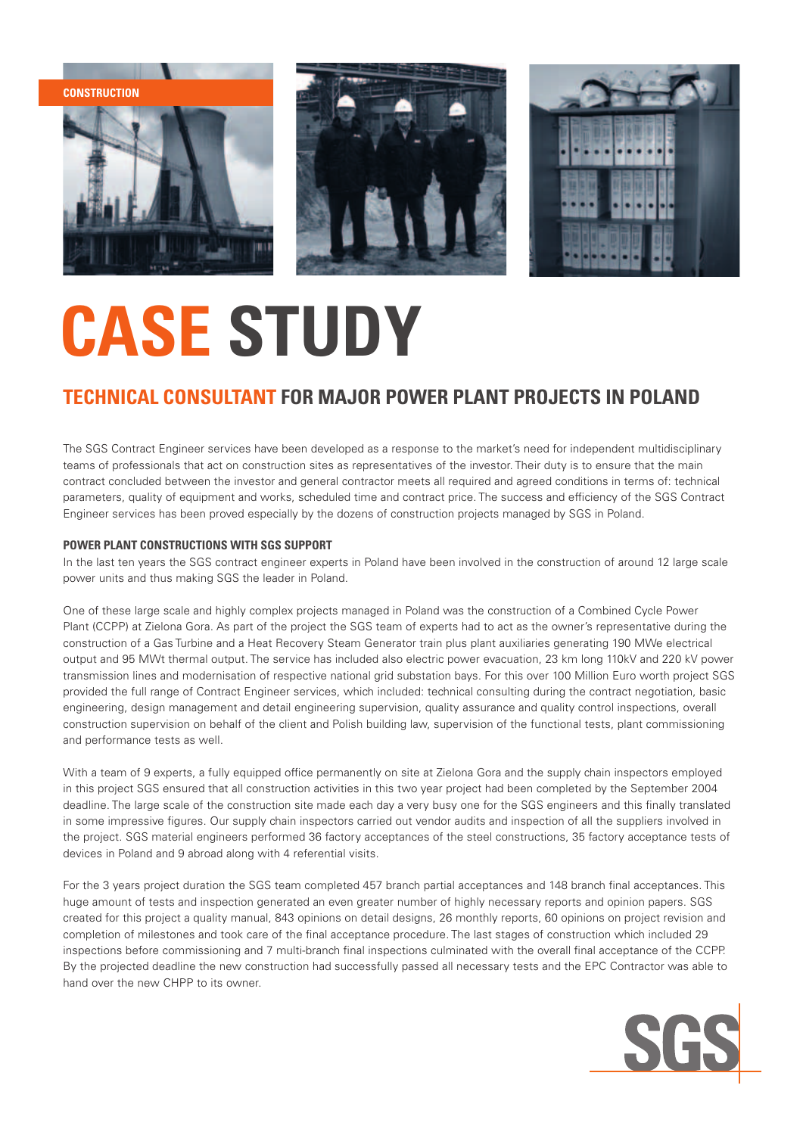





## **CASE STUDY**

### **Technical Consultant for major Power Plant projects in Poland**

The SGS Contract Engineer services have been developed as a response to the market's need for independent multidisciplinary teams of professionals that act on construction sites as representatives of the investor. Their duty is to ensure that the main contract concluded between the investor and general contractor meets all required and agreed conditions in terms of: technical parameters, quality of equipment and works, scheduled time and contract price. The success and efficiency of the SGS Contract Engineer services has been proved especially by the dozens of construction projects managed by SGS in Poland.

#### **POWER PLANT CONSTRUCTIONS WITH SGS SUPPORT**

In the last ten years the SGS contract engineer experts in Poland have been involved in the construction of around 12 large scale power units and thus making SGS the leader in Poland.

One of these large scale and highly complex projects managed in Poland was the construction of a Combined Cycle Power Plant (CCPP) at Zielona Gora. As part of the project the SGS team of experts had to act as the owner's representative during the construction of a Gas Turbine and a Heat Recovery Steam Generator train plus plant auxiliaries generating 190 MWe electrical output and 95 MWt thermal output. The service has included also electric power evacuation, 23 km long 110kV and 220 kV power transmission lines and modernisation of respective national grid substation bays. For this over 100 Million Euro worth project SGS provided the full range of Contract Engineer services, which included: technical consulting during the contract negotiation, basic engineering, design management and detail engineering supervision, quality assurance and quality control inspections, overall construction supervision on behalf of the client and Polish building law, supervision of the functional tests, plant commissioning and performance tests as well.

With a team of 9 experts, a fully equipped office permanently on site at Zielona Gora and the supply chain inspectors employed in this project SGS ensured that all construction activities in this two year project had been completed by the September 2004 deadline. The large scale of the construction site made each day a very busy one for the SGS engineers and this finally translated in some impressive figures. Our supply chain inspectors carried out vendor audits and inspection of all the suppliers involved in the project. SGS material engineers performed 36 factory acceptances of the steel constructions, 35 factory acceptance tests of devices in Poland and 9 abroad along with 4 referential visits.

For the 3 years project duration the SGS team completed 457 branch partial acceptances and 148 branch final acceptances. This huge amount of tests and inspection generated an even greater number of highly necessary reports and opinion papers. SGS created for this project a quality manual, 843 opinions on detail designs, 26 monthly reports, 60 opinions on project revision and completion of milestones and took care of the final acceptance procedure. The last stages of construction which included 29 inspections before commissioning and 7 multi-branch final inspections culminated with the overall final acceptance of the CCPP. By the projected deadline the new construction had successfully passed all necessary tests and the EPC Contractor was able to hand over the new CHPP to its owner.